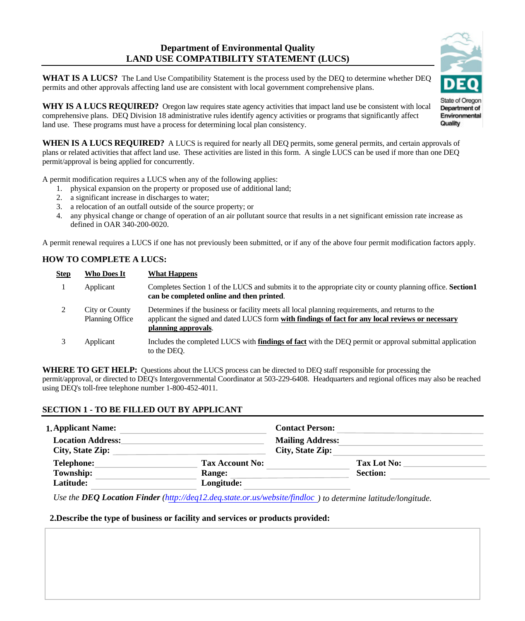# **Department of Environmental Quality LAND USE COMPATIBILITY STATEMENT (LUCS)**

**WHAT IS A LUCS?** The Land Use Compatibility Statement is the process used by the DEQ to determine whether DEQ permits and other approvals affecting land use are consistent with local government comprehensive plans.

**WHY IS A LUCS REQUIRED?** Oregon law requires state agency activities that impact land use be consistent with local comprehensive plans. DEQ Division 18 administrative rules identify agency activities or programs that significantly affect land use. These programs must have a process for determining local plan consistency.

WHEN IS A LUCS REQUIRED? A LUCS is required for nearly all DEQ permits, some general permits, and certain approvals of plans or related activities that affect land use. These activities are listed in this form. A single LUCS can be used if more than one DEQ permit/approval is being applied for concurrently.

A permit modification requires a LUCS when any of the following applies:

- 1. physical expansion on the property or proposed use of additional land;
- 2. a significant increase in discharges to water;
- 3. a relocation of an outfall outside of the source property; or
- 4. any physical change or change of operation of an air pollutant source that results in a net significant emission rate increase as defined in OAR 340-200-0020.

A permit renewal requires a LUCS if one has not previously been submitted, or if any of the above four permit modification factors apply.

# **HOW TO COMPLETE A LUCS:**

 $\overline{a}$ 

| <b>Step</b> | <b>Who Does It</b>                       | <b>What Happens</b>                                                                                                                                                                                                          |
|-------------|------------------------------------------|------------------------------------------------------------------------------------------------------------------------------------------------------------------------------------------------------------------------------|
|             | Applicant                                | Completes Section 1 of the LUCS and submits it to the appropriate city or county planning office. Section1<br>can be completed online and then printed.                                                                      |
|             | City or County<br><b>Planning Office</b> | Determines if the business or facility meets all local planning requirements, and returns to the<br>applicant the signed and dated LUCS form with findings of fact for any local reviews or necessary<br>planning approvals. |
|             | Applicant                                | Includes the completed LUCS with <b>findings of fact</b> with the DEQ permit or approval submittal application<br>to the DEO.                                                                                                |

**WHERE TO GET HELP:** Questions about the LUCS process can be directed to DEQ staff responsible for processing the permit/approval, or directed to DEQ's Intergovernmental Coordinator at 503-229-6408. Headquarters and regional offices may also be reached using DEQ's toll-free telephone number 1-800-452-4011.

### **SECTION 1 - TO BE FILLED OUT BY APPLICANT**

| <b>1. Applicant Name:</b>                    |                        | <b>Contact Person:</b>                      |                 |  |
|----------------------------------------------|------------------------|---------------------------------------------|-----------------|--|
| <b>Location Address:</b><br>City, State Zip: |                        | <b>Mailing Address:</b><br>City, State Zip: |                 |  |
| <b>Telephone:</b>                            | <b>Tax Account No:</b> |                                             | Tax Lot No:     |  |
| Township:                                    | <b>Range:</b>          |                                             | <b>Section:</b> |  |
| Latitude:                                    | Longitude:             |                                             |                 |  |

*Use the DEQ Location Finder (<http://deq12.deq.state.or.us/website/findloc> ) to determine latitude/longitude.*

#### **2.Describe the type of business or facility and services or products provided:**